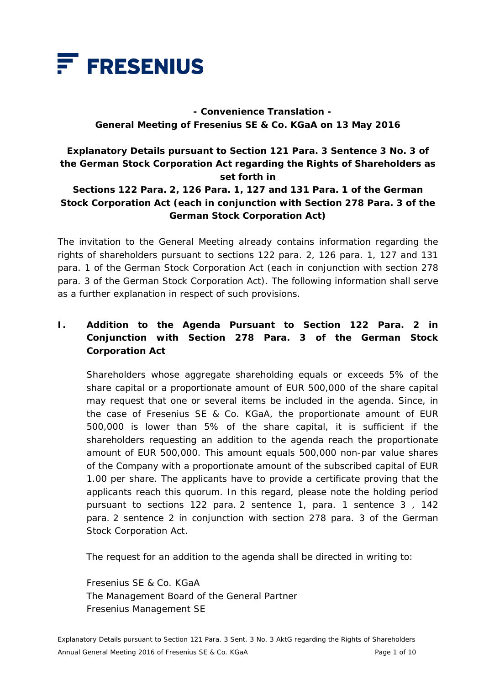

# **- Convenience Translation - General Meeting of Fresenius SE & Co. KGaA on 13 May 2016**

# **Explanatory Details pursuant to Section 121 Para. 3 Sentence 3 No. 3 of the German Stock Corporation Act regarding the Rights of Shareholders as set forth in**

## **Sections 122 Para. 2, 126 Para. 1, 127 and 131 Para. 1 of the German Stock Corporation Act (each in conjunction with Section 278 Para. 3 of the German Stock Corporation Act)**

The invitation to the General Meeting already contains information regarding the rights of shareholders pursuant to sections 122 para. 2, 126 para. 1, 127 and 131 para. 1 of the German Stock Corporation Act (each in conjunction with section 278 para. 3 of the German Stock Corporation Act). The following information shall serve as a further explanation in respect of such provisions.

## **I. Addition to the Agenda Pursuant to Section 122 Para. 2 in Conjunction with Section 278 Para. 3 of the German Stock Corporation Act**

 Shareholders whose aggregate shareholding equals or exceeds 5% of the share capital or a proportionate amount of EUR 500,000 of the share capital may request that one or several items be included in the agenda. Since, in the case of Fresenius SE & Co. KGaA, the proportionate amount of EUR 500,000 is lower than 5% of the share capital, it is sufficient if the shareholders requesting an addition to the agenda reach the proportionate amount of EUR 500,000. This amount equals 500,000 non-par value shares of the Company with a proportionate amount of the subscribed capital of EUR 1.00 per share. The applicants have to provide a certificate proving that the applicants reach this quorum. In this regard, please note the holding period pursuant to sections 122 para. 2 sentence 1, para. 1 sentence 3 , 142 para. 2 sentence 2 in conjunction with section 278 para. 3 of the German Stock Corporation Act.

The request for an addition to the agenda shall be directed in writing to:

 Fresenius SE & Co. KGaA The Management Board of the General Partner Fresenius Management SE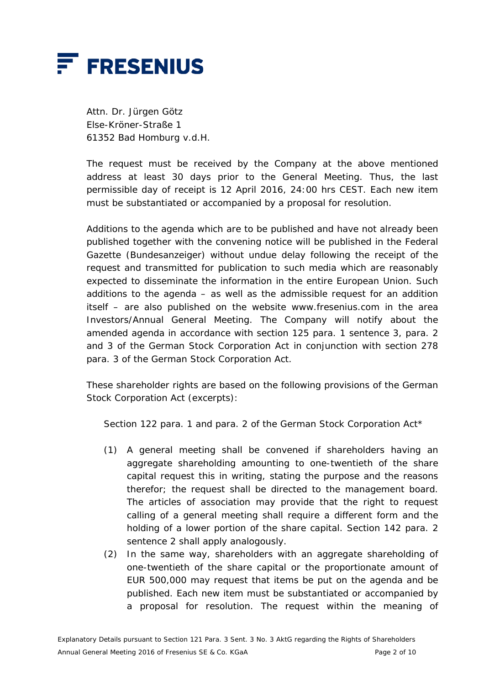

 Attn. Dr. Jürgen Götz Else-Kröner-Straße 1 61352 Bad Homburg v.d.H.

 The request must be received by the Company at the above mentioned address at least 30 days prior to the General Meeting. Thus, the last permissible day of receipt is 12 April 2016, 24:00 hrs CEST. Each new item must be substantiated or accompanied by a proposal for resolution.

 Additions to the agenda which are to be published and have not already been published together with the convening notice will be published in the Federal Gazette (*Bundesanzeiger*) without undue delay following the receipt of the request and transmitted for publication to such media which are reasonably expected to disseminate the information in the entire European Union. Such additions to the agenda – as well as the admissible request for an addition itself – are also published on the website www.fresenius.com in the area Investors/Annual General Meeting. The Company will notify about the amended agenda in accordance with section 125 para. 1 sentence 3, para. 2 and 3 of the German Stock Corporation Act in conjunction with section 278 para. 3 of the German Stock Corporation Act.

 These shareholder rights are based on the following provisions of the German Stock Corporation Act (excerpts):

Section 122 para. 1 and para. 2 of the German Stock Corporation Act\*

- (1) A general meeting shall be convened if shareholders having an aggregate shareholding amounting to one-twentieth of the share capital request this in writing, stating the purpose and the reasons therefor; the request shall be directed to the management board. The articles of association may provide that the right to request calling of a general meeting shall require a different form and the holding of a lower portion of the share capital. Section 142 para. 2 sentence 2 shall apply analogously.
- (2) In the same way, shareholders with an aggregate shareholding of one-twentieth of the share capital or the proportionate amount of EUR 500,000 may request that items be put on the agenda and be published. Each new item must be substantiated or accompanied by a proposal for resolution. The request within the meaning of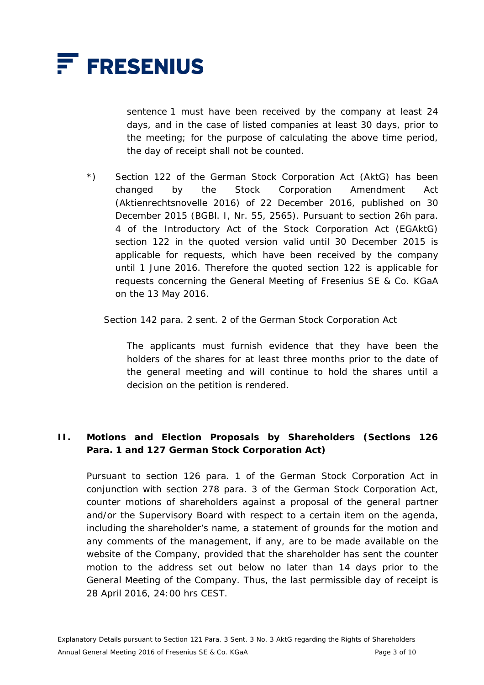

sentence 1 must have been received by the company at least 24 days, and in the case of listed companies at least 30 days, prior to the meeting; for the purpose of calculating the above time period, the day of receipt shall not be counted.

\*) Section 122 of the German Stock Corporation Act (AktG) has been changed by the Stock Corporation Amendment Act (Aktienrechtsnovelle 2016) of 22 December 2016, published on 30 December 2015 (BGBl. I, Nr. 55, 2565). Pursuant to section 26h para. 4 of the Introductory Act of the Stock Corporation Act (EGAktG) section 122 in the quoted version valid until 30 December 2015 is applicable for requests, which have been received by the company until 1 June 2016. Therefore the quoted section 122 is applicable for requests concerning the General Meeting of Fresenius SE & Co. KGaA on the 13 May 2016.

Section 142 para. 2 sent. 2 of the German Stock Corporation Act

 The applicants must furnish evidence that they have been the holders of the shares for at least three months prior to the date of the general meeting and will continue to hold the shares until a decision on the petition is rendered.

#### **II. Motions and Election Proposals by Shareholders (Sections 126 Para. 1 and 127 German Stock Corporation Act)**

 Pursuant to section 126 para. 1 of the German Stock Corporation Act in conjunction with section 278 para. 3 of the German Stock Corporation Act, counter motions of shareholders against a proposal of the general partner and/or the Supervisory Board with respect to a certain item on the agenda, including the shareholder's name, a statement of grounds for the motion and any comments of the management, if any, are to be made available on the website of the Company, provided that the shareholder has sent the counter motion to the address set out below no later than 14 days prior to the General Meeting of the Company. Thus, the last permissible day of receipt is 28 April 2016, 24:00 hrs CEST.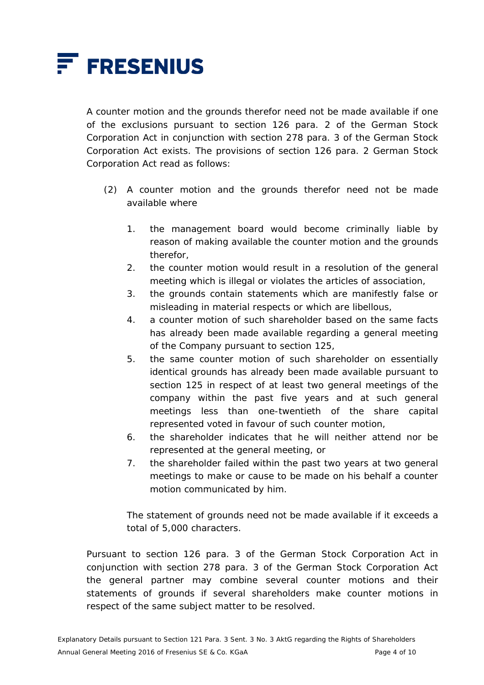

 A counter motion and the grounds therefor need not be made available if one of the exclusions pursuant to section 126 para. 2 of the German Stock Corporation Act in conjunction with section 278 para. 3 of the German Stock Corporation Act exists. The provisions of section 126 para. 2 German Stock Corporation Act read as follows:

- (2) A counter motion and the grounds therefor need not be made available where
	- 1. the management board would become criminally liable by reason of making available the counter motion and the grounds therefor,
	- 2. the counter motion would result in a resolution of the general meeting which is illegal or violates the articles of association,
	- 3. the grounds contain statements which are manifestly false or misleading in material respects or which are libellous,
	- 4. a counter motion of such shareholder based on the same facts has already been made available regarding a general meeting of the Company pursuant to section 125,
	- 5. the same counter motion of such shareholder on essentially identical grounds has already been made available pursuant to section 125 in respect of at least two general meetings of the company within the past five years and at such general meetings less than one-twentieth of the share capital represented voted in favour of such counter motion,
	- 6. the shareholder indicates that he will neither attend nor be represented at the general meeting, or
	- 7. the shareholder failed within the past two years at two general meetings to make or cause to be made on his behalf a counter motion communicated by him.

 The statement of grounds need not be made available if it exceeds a total of 5,000 characters.

 Pursuant to section 126 para. 3 of the German Stock Corporation Act in conjunction with section 278 para. 3 of the German Stock Corporation Act the general partner may combine several counter motions and their statements of grounds if several shareholders make counter motions in respect of the same subject matter to be resolved.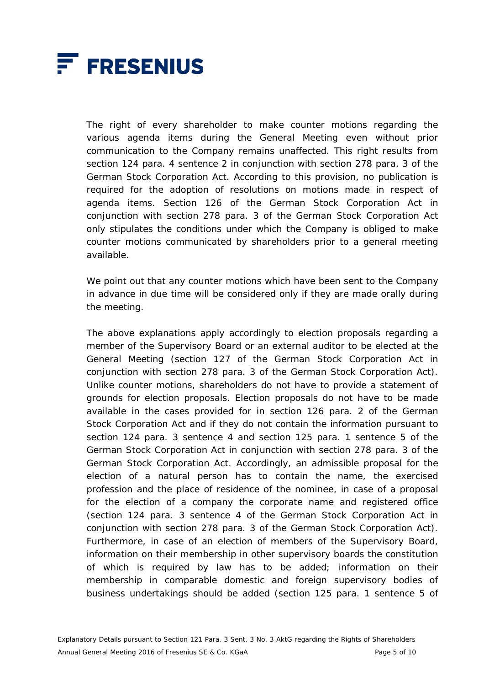

The right of every shareholder to make counter motions regarding the various agenda items during the General Meeting even without prior communication to the Company remains unaffected. This right results from section 124 para. 4 sentence 2 in conjunction with section 278 para. 3 of the German Stock Corporation Act. According to this provision, no publication is required for the adoption of resolutions on motions made in respect of agenda items. Section 126 of the German Stock Corporation Act in conjunction with section 278 para. 3 of the German Stock Corporation Act only stipulates the conditions under which the Company is obliged to make counter motions communicated by shareholders prior to a general meeting available.

 We point out that any counter motions which have been sent to the Company in advance in due time will be considered only if they are made orally during the meeting.

 The above explanations apply accordingly to election proposals regarding a member of the Supervisory Board or an external auditor to be elected at the General Meeting (section 127 of the German Stock Corporation Act in conjunction with section 278 para. 3 of the German Stock Corporation Act). Unlike counter motions, shareholders do not have to provide a statement of grounds for election proposals. Election proposals do not have to be made available in the cases provided for in section 126 para. 2 of the German Stock Corporation Act and if they do not contain the information pursuant to section 124 para. 3 sentence 4 and section 125 para. 1 sentence 5 of the German Stock Corporation Act in conjunction with section 278 para. 3 of the German Stock Corporation Act. Accordingly, an admissible proposal for the election of a natural person has to contain the name, the exercised profession and the place of residence of the nominee, in case of a proposal for the election of a company the corporate name and registered office (section 124 para. 3 sentence 4 of the German Stock Corporation Act in conjunction with section 278 para. 3 of the German Stock Corporation Act). Furthermore, in case of an election of members of the Supervisory Board, information on their membership in other supervisory boards the constitution of which is required by law has to be added; information on their membership in comparable domestic and foreign supervisory bodies of business undertakings should be added (section 125 para. 1 sentence 5 of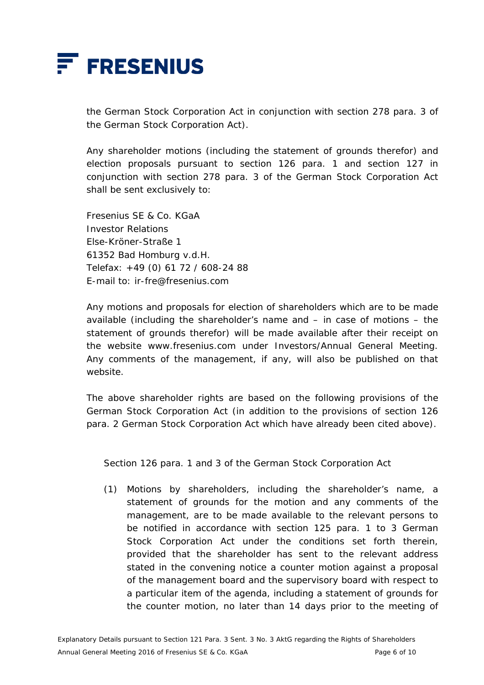

the German Stock Corporation Act in conjunction with section 278 para. 3 of the German Stock Corporation Act).

 Any shareholder motions (including the statement of grounds therefor) and election proposals pursuant to section 126 para. 1 and section 127 in conjunction with section 278 para. 3 of the German Stock Corporation Act shall be sent exclusively to:

 Fresenius SE & Co. KGaA Investor Relations Else-Kröner-Straße 1 61352 Bad Homburg v.d.H. Telefax: +49 (0) 61 72 / 608-24 88 E-mail to: ir-fre@fresenius.com

 Any motions and proposals for election of shareholders which are to be made available (including the shareholder's name and – in case of motions – the statement of grounds therefor) will be made available after their receipt on the website www.fresenius.com under Investors/Annual General Meeting. Any comments of the management, if any, will also be published on that website.

 The above shareholder rights are based on the following provisions of the German Stock Corporation Act (in addition to the provisions of section 126 para. 2 German Stock Corporation Act which have already been cited above).

Section 126 para. 1 and 3 of the German Stock Corporation Act

(1) Motions by shareholders, including the shareholder's name, a statement of grounds for the motion and any comments of the management, are to be made available to the relevant persons to be notified in accordance with section 125 para. 1 to 3 German Stock Corporation Act under the conditions set forth therein, provided that the shareholder has sent to the relevant address stated in the convening notice a counter motion against a proposal of the management board and the supervisory board with respect to a particular item of the agenda, including a statement of grounds for the counter motion, no later than 14 days prior to the meeting of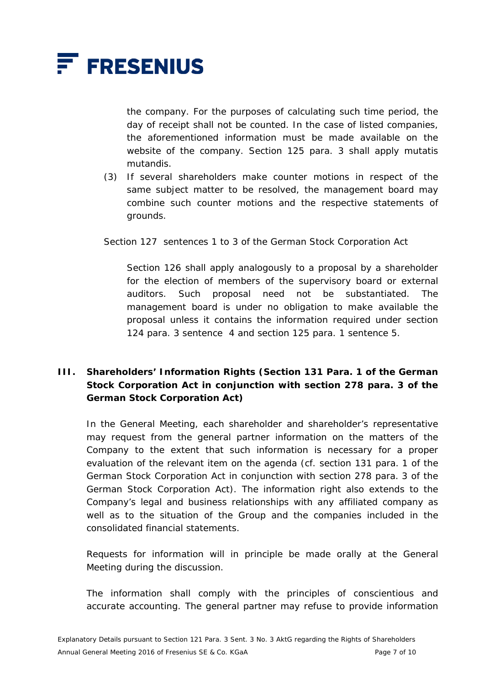

the company. For the purposes of calculating such time period, the day of receipt shall not be counted. In the case of listed companies, the aforementioned information must be made available on the website of the company. Section 125 para. 3 shall apply mutatis mutandis.

(3) If several shareholders make counter motions in respect of the same subject matter to be resolved, the management board may combine such counter motions and the respective statements of grounds.

Section 127 sentences 1 to 3 of the German Stock Corporation Act

 Section 126 shall apply analogously to a proposal by a shareholder for the election of members of the supervisory board or external auditors. Such proposal need not be substantiated. The management board is under no obligation to make available the proposal unless it contains the information required under section 124 para. 3 sentence 4 and section 125 para. 1 sentence 5.

## **III. Shareholders' Information Rights (Section 131 Para. 1 of the German Stock Corporation Act in conjunction with section 278 para. 3 of the German Stock Corporation Act)**

 In the General Meeting, each shareholder and shareholder's representative may request from the general partner information on the matters of the Company to the extent that such information is necessary for a proper evaluation of the relevant item on the agenda (cf. section 131 para. 1 of the German Stock Corporation Act in conjunction with section 278 para. 3 of the German Stock Corporation Act). The information right also extends to the Company's legal and business relationships with any affiliated company as well as to the situation of the Group and the companies included in the consolidated financial statements.

 Requests for information will in principle be made orally at the General Meeting during the discussion.

 The information shall comply with the principles of conscientious and accurate accounting. The general partner may refuse to provide information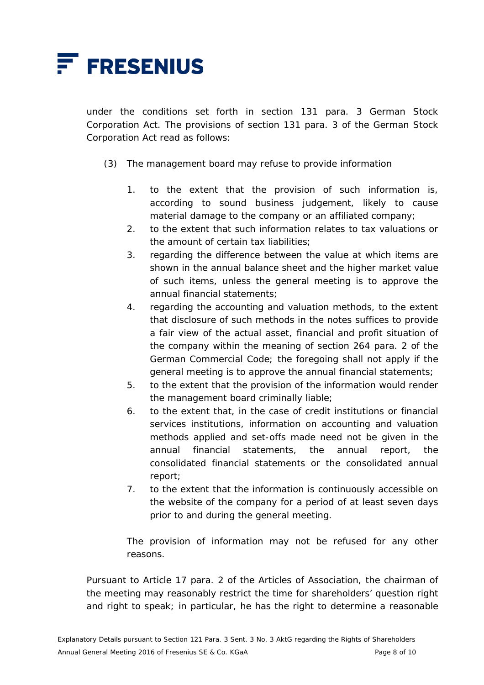

under the conditions set forth in section 131 para. 3 German Stock Corporation Act. The provisions of section 131 para. 3 of the German Stock Corporation Act read as follows:

- (3) The management board may refuse to provide information
	- 1. to the extent that the provision of such information is, according to sound business judgement, likely to cause material damage to the company or an affiliated company;
	- 2. to the extent that such information relates to tax valuations or the amount of certain tax liabilities;
	- 3. regarding the difference between the value at which items are shown in the annual balance sheet and the higher market value of such items, unless the general meeting is to approve the annual financial statements;
	- 4. regarding the accounting and valuation methods, to the extent that disclosure of such methods in the notes suffices to provide a fair view of the actual asset, financial and profit situation of the company within the meaning of section 264 para. 2 of the German Commercial Code; the foregoing shall not apply if the general meeting is to approve the annual financial statements;
	- 5. to the extent that the provision of the information would render the management board criminally liable;
	- 6. to the extent that, in the case of credit institutions or financial services institutions, information on accounting and valuation methods applied and set-offs made need not be given in the annual financial statements, the annual report, the consolidated financial statements or the consolidated annual report;
	- 7. to the extent that the information is continuously accessible on the website of the company for a period of at least seven days prior to and during the general meeting.

 The provision of information may not be refused for any other reasons.

 Pursuant to Article 17 para. 2 of the Articles of Association, the chairman of the meeting may reasonably restrict the time for shareholders' question right and right to speak; in particular, he has the right to determine a reasonable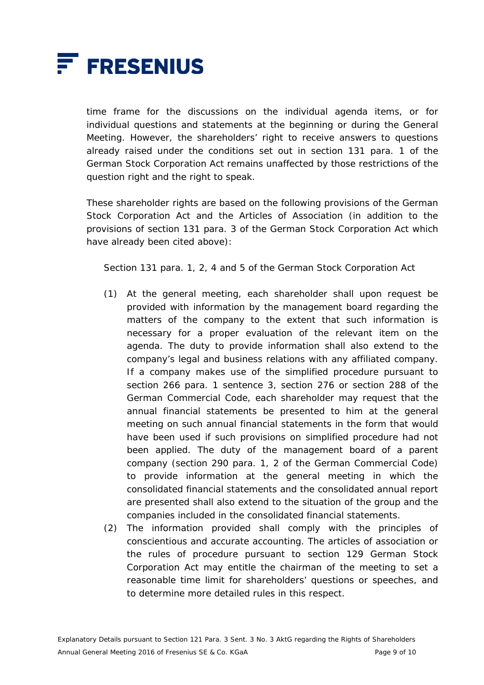

time frame for the discussions on the individual agenda items, or for individual questions and statements at the beginning or during the General Meeting. However, the shareholders' right to receive answers to questions already raised under the conditions set out in section 131 para. 1 of the German Stock Corporation Act remains unaffected by those restrictions of the question right and the right to speak.

 These shareholder rights are based on the following provisions of the German Stock Corporation Act and the Articles of Association (in addition to the provisions of section 131 para. 3 of the German Stock Corporation Act which have already been cited above):

Section 131 para. 1, 2, 4 and 5 of the German Stock Corporation Act

- (1) At the general meeting, each shareholder shall upon request be provided with information by the management board regarding the matters of the company to the extent that such information is necessary for a proper evaluation of the relevant item on the agenda. The duty to provide information shall also extend to the company's legal and business relations with any affiliated company. If a company makes use of the simplified procedure pursuant to section 266 para. 1 sentence 3, section 276 or section 288 of the German Commercial Code, each shareholder may request that the annual financial statements be presented to him at the general meeting on such annual financial statements in the form that would have been used if such provisions on simplified procedure had not been applied. The duty of the management board of a parent company (section 290 para. 1, 2 of the German Commercial Code) to provide information at the general meeting in which the consolidated financial statements and the consolidated annual report are presented shall also extend to the situation of the group and the companies included in the consolidated financial statements.
- (2) The information provided shall comply with the principles of conscientious and accurate accounting. The articles of association or the rules of procedure pursuant to section 129 German Stock Corporation Act may entitle the chairman of the meeting to set a reasonable time limit for shareholders' questions or speeches, and to determine more detailed rules in this respect.